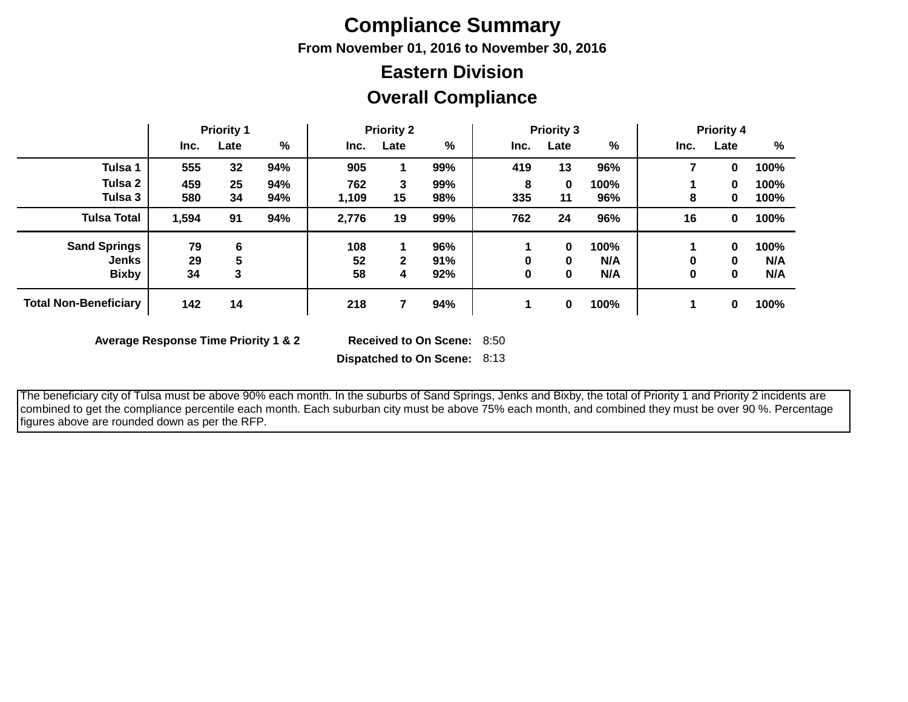# **Compliance Summary**

**From November 01, 2016 to November 30, 2016**

## **Overall Compliance Eastern Division**

|                              | <b>Priority 1</b> |      | <b>Priority 2</b> |       |              | <b>Priority 3</b> |      |      | <b>Priority 4</b> |      |          |      |
|------------------------------|-------------------|------|-------------------|-------|--------------|-------------------|------|------|-------------------|------|----------|------|
|                              | Inc.              | Late | %                 | Inc.  | Late         | %                 | Inc. | Late | %                 | Inc. | Late     | %    |
| Tulsa 1                      | 555               | 32   | 94%               | 905   |              | 99%               | 419  | 13   | 96%               | 7    | 0        | 100% |
| Tulsa 2                      | 459               | 25   | 94%               | 762   | 3            | 99%               | 8    | 0    | 100%              |      | $\bf{0}$ | 100% |
| Tulsa 3                      | 580               | 34   | 94%               | 1,109 | 15           | 98%               | 335  | 11   | 96%               | 8    | 0        | 100% |
| <b>Tulsa Total</b>           | 1,594             | 91   | 94%               | 2,776 | 19           | 99%               | 762  | 24   | 96%               | 16   | 0        | 100% |
| <b>Sand Springs</b>          | 79                | 6    |                   | 108   | 1            | 96%               |      | 0    | 100%              |      | $\bf{0}$ | 100% |
| <b>Jenks</b>                 | 29                | 5    |                   | 52    | $\mathbf{2}$ | 91%               |      | 0    | N/A               | 0    | 0        | N/A  |
| <b>Bixby</b>                 | 34                | 3    |                   | 58    | 4            | 92%               | 0    | 0    | N/A               | 0    | 0        | N/A  |
| <b>Total Non-Beneficiary</b> | 142               | 14   |                   | 218   |              | 94%               |      | 0    | 100%              |      | 0        | 100% |

**Average Response Time Priority 1 & 2** 

Received to On Scene: 8:50

**Dispatched to On Scene:** 8:13

 The beneficiary city of Tulsa must be above 90% each month. In the suburbs of Sand Springs, Jenks and Bixby, the total of Priority 1 and Priority 2 incidents are combined to get the compliance percentile each month. Each suburban city must be above 75% each month, and combined they must be over 90 %. Percentage figures above are rounded down as per the RFP.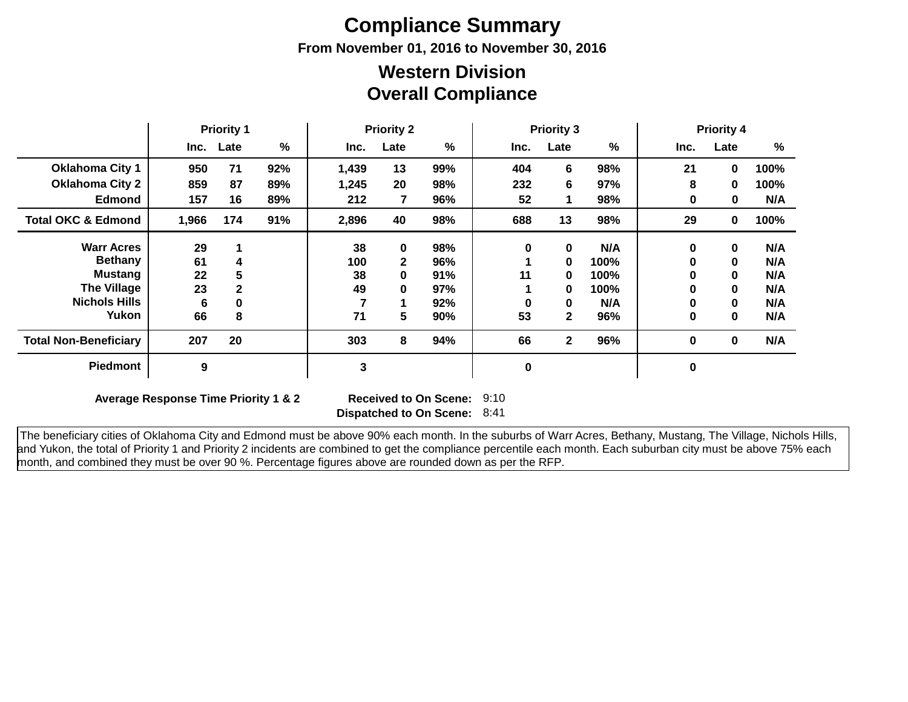# **Compliance Summary**

**From November 01, 2016 to November 30, 2016**

### **Overall Compliance Western Division**

|                               | <b>Priority 1</b> |              | <b>Priority 2</b> |       | <b>Priority 3</b> |     |             | <b>Priority 4</b> |      |      |             |      |
|-------------------------------|-------------------|--------------|-------------------|-------|-------------------|-----|-------------|-------------------|------|------|-------------|------|
|                               | Inc.              | Late         | %                 | Inc.  | Late              | %   | Inc.        | Late              | %    | Inc. | Late        | %    |
| <b>Oklahoma City 1</b>        | 950               | 71           | 92%               | 1,439 | 13                | 99% | 404         | 6                 | 98%  | 21   | 0           | 100% |
| <b>Oklahoma City 2</b>        | 859               | 87           | 89%               | 1,245 | 20                | 98% | 232         | 6                 | 97%  | 8    | 0           | 100% |
| <b>Edmond</b>                 | 157               | 16           | 89%               | 212   | 7                 | 96% | 52          |                   | 98%  | 0    | 0           | N/A  |
| <b>Total OKC &amp; Edmond</b> | 1,966             | 174          | 91%               | 2,896 | 40                | 98% | 688         | 13                | 98%  | 29   | 0           | 100% |
| <b>Warr Acres</b>             | 29                |              |                   | 38    | $\mathbf 0$       | 98% | $\bf{0}$    | $\bf{0}$          | N/A  | 0    | $\bf{0}$    | N/A  |
| <b>Bethany</b>                | 61                | 4            |                   | 100   | $\mathbf{2}$      | 96% |             | $\bf{0}$          | 100% | 0    | $\mathbf 0$ | N/A  |
| <b>Mustang</b>                | 22                | 5            |                   | 38    | 0                 | 91% | 11          | 0                 | 100% | 0    | $\mathbf 0$ | N/A  |
| <b>The Village</b>            | 23                | $\mathbf{2}$ |                   | 49    | 0                 | 97% |             | 0                 | 100% | 0    | $\mathbf 0$ | N/A  |
| <b>Nichols Hills</b>          | 6                 | 0            |                   |       |                   | 92% | 0           | 0                 | N/A  | 0    | $\bf{0}$    | N/A  |
| Yukon                         | 66                | 8            |                   | 71    | 5                 | 90% | 53          | $\mathbf{2}$      | 96%  | 0    | $\bf{0}$    | N/A  |
| <b>Total Non-Beneficiary</b>  | 207               | 20           |                   | 303   | 8                 | 94% | 66          | $\mathbf{2}$      | 96%  | 0    | $\bf{0}$    | N/A  |
| <b>Piedmont</b>               | 9                 |              |                   | 3     |                   |     | $\mathbf 0$ |                   |      | 0    |             |      |

**Average Response Time Priority 1 & 2** 

**Dispatched to On Scene:** 8:41 Received to On Scene: 9:10

 The beneficiary cities of Oklahoma City and Edmond must be above 90% each month. In the suburbs of Warr Acres, Bethany, Mustang, The Village, Nichols Hills, and Yukon, the total of Priority 1 and Priority 2 incidents are combined to get the compliance percentile each month. Each suburban city must be above 75% each month, and combined they must be over 90 %. Percentage figures above are rounded down as per the RFP.